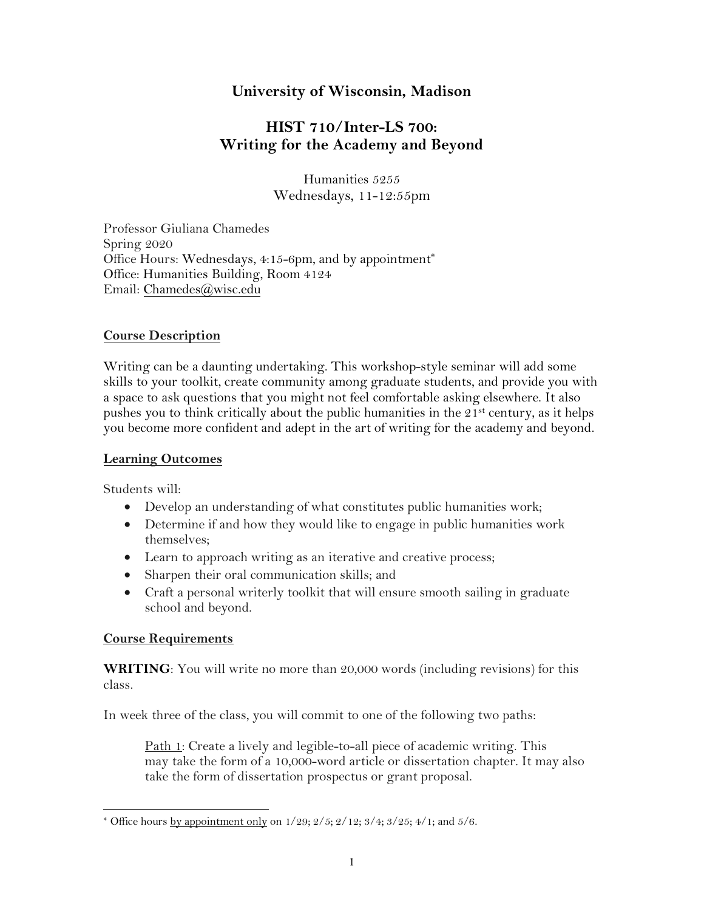# **University of Wisconsin, Madison**

# **HIST 710/Inter-LS 700: Writing for the Academy and Beyond**

Humanities 5255 Wednesdays, 11-12:55pm

Professor Giuliana Chamedes Spring 2020 Office Hours: Wednesdays, 4:15-6pm, and by appointment<sup>\*</sup> Office: Humanities Building, Room 4124 Email: Chamedes@wisc.edu

### **Course Description**

Writing can be a daunting undertaking. This workshop-style seminar will add some skills to your toolkit, create community among graduate students, and provide you with a space to ask questions that you might not feel comfortable asking elsewhere. It also pushes you to think critically about the public humanities in the  $21<sup>st</sup>$  century, as it helps you become more confident and adept in the art of writing for the academy and beyond.

#### **Learning Outcomes**

Students will:

- Develop an understanding of what constitutes public humanities work;
- Determine if and how they would like to engage in public humanities work themselves;
- Learn to approach writing as an iterative and creative process;
- Sharpen their oral communication skills; and
- Craft a personal writerly toolkit that will ensure smooth sailing in graduate school and beyond.

#### **Course Requirements**

**WRITING**: You will write no more than 20,000 words (including revisions) for this class.

In week three of the class, you will commit to one of the following two paths:

Path 1: Create a lively and legible-to-all piece of academic writing. This may take the form of a 10,000-word article or dissertation chapter. It may also take the form of dissertation prospectus or grant proposal.

<sup>\*</sup> Office hours by appointment only on  $1/29$ ;  $2/5$ ;  $2/12$ ;  $3/4$ ;  $3/25$ ;  $4/1$ ; and  $5/6$ .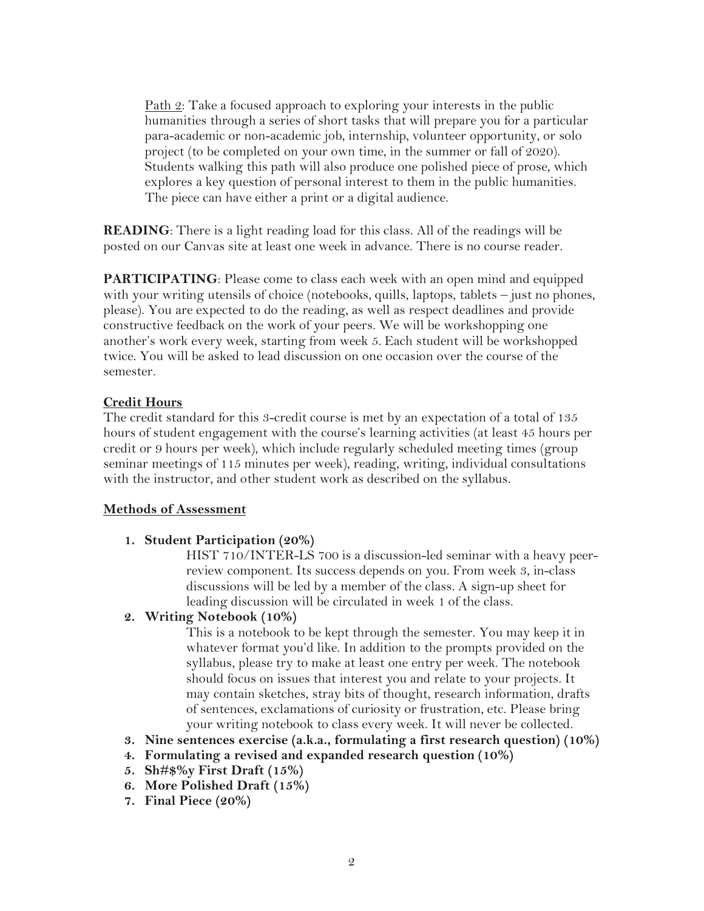Path 2: Take a focused approach to exploring your interests in the public humanities through a series of short tasks that will prepare you for a particular para-academic or non-academic job, internship, volunteer opportunity, or solo project (to be completed on your own time, in the summer or fall of 2020). Students walking this path will also produce one polished piece of prose, which explores a key question of personal interest to them in the public humanities. The piece can have either a print or a digital audience.

**READING**: There is a light reading load for this class. All of the readings will be posted on our Canvas site at least one week in advance. There is no course reader.

**PARTICIPATING**: Please come to class each week with an open mind and equipped with your writing utensils of choice (notebooks, quills, laptops, tablets – just no phones, please). You are expected to do the reading, as well as respect deadlines and provide constructive feedback on the work of your peers. We will be workshopping one another's work every week, starting from week 5. Each student will be workshopped twice. You will be asked to lead discussion on one occasion over the course of the semester.

#### **Credit Hours**

The credit standard for this 3-credit course is met by an expectation of a total of 135 hours of student engagement with the course's learning activities (at least 45 hours per credit or 9 hours per week), which include regularly scheduled meeting times (group seminar meetings of 115 minutes per week), reading, writing, individual consultations with the instructor, and other student work as described on the syllabus.

#### **Methods of Assessment**

#### **1. Student Participation (20%)**

HIST 710/INTER-LS 700 is a discussion-led seminar with a heavy peerreview component. Its success depends on you. From week 3, in-class discussions will be led by a member of the class. A sign-up sheet for leading discussion will be circulated in week 1 of the class.

**2. Writing Notebook (10%)**

This is a notebook to be kept through the semester. You may keep it in whatever format you'd like. In addition to the prompts provided on the syllabus, please try to make at least one entry per week. The notebook should focus on issues that interest you and relate to your projects. It may contain sketches, stray bits of thought, research information, drafts of sentences, exclamations of curiosity or frustration, etc. Please bring your writing notebook to class every week. It will never be collected.

- **3. Nine sentences exercise (a.k.a., formulating a first research question) (10%)**
- **4. Formulating a revised and expanded research question (10%)**
- **5. Sh#\$%y First Draft (15%)**
- **6. More Polished Draft (15%)**
- **7. Final Piece (20%)**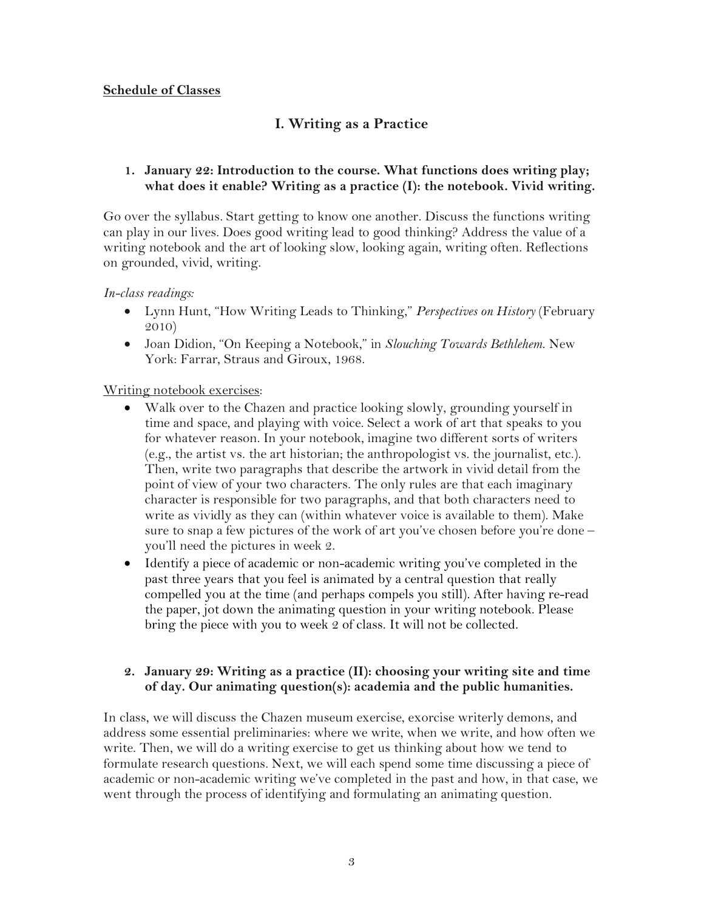#### **Schedule of Classes**

# **I. Writing as a Practice**

#### **1. January 22: Introduction to the course. What functions does writing play; what does it enable? Writing as a practice (I): the notebook. Vivid writing.**

Go over the syllabus. Start getting to know one another. Discuss the functions writing can play in our lives. Does good writing lead to good thinking? Address the value of a writing notebook and the art of looking slow, looking again, writing often. Reflections on grounded, vivid, writing.

#### *In-class readings:*

- Lynn Hunt, "How Writing Leads to Thinking," *Perspectives on History* (February 2010)
- Joan Didion, "On Keeping a Notebook," in *Slouching Towards Bethlehem*. New York: Farrar, Straus and Giroux, 1968.

#### Writing notebook exercises:

- Walk over to the Chazen and practice looking slowly, grounding yourself in time and space, and playing with voice. Select a work of art that speaks to you for whatever reason. In your notebook, imagine two different sorts of writers (e.g., the artist vs. the art historian; the anthropologist vs. the journalist, etc.). Then, write two paragraphs that describe the artwork in vivid detail from the point of view of your two characters. The only rules are that each imaginary character is responsible for two paragraphs, and that both characters need to write as vividly as they can (within whatever voice is available to them). Make sure to snap a few pictures of the work of art you've chosen before you're done – you'll need the pictures in week 2.
- Identify a piece of academic or non-academic writing you've completed in the past three years that you feel is animated by a central question that really compelled you at the time (and perhaps compels you still). After having re-read the paper, jot down the animating question in your writing notebook. Please bring the piece with you to week 2 of class. It will not be collected.

#### **2. January 29: Writing as a practice (II): choosing your writing site and time of day. Our animating question(s): academia and the public humanities.**

In class, we will discuss the Chazen museum exercise, exorcise writerly demons, and address some essential preliminaries: where we write, when we write, and how often we write. Then, we will do a writing exercise to get us thinking about how we tend to formulate research questions. Next, we will each spend some time discussing a piece of academic or non-academic writing we've completed in the past and how, in that case, we went through the process of identifying and formulating an animating question.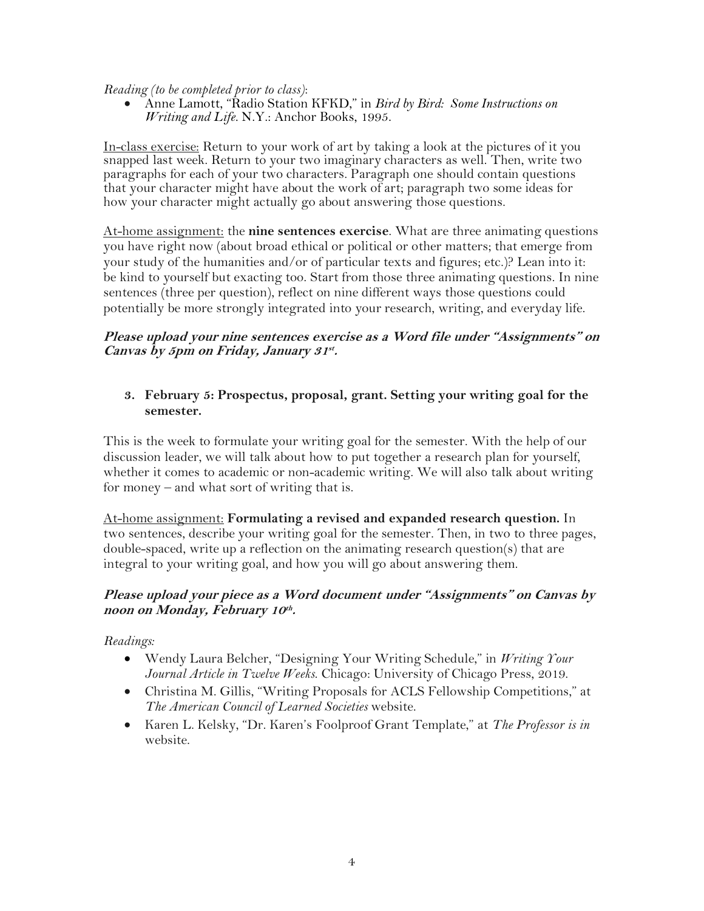*Reading (to be completed prior to class)*:

• Anne Lamott, "Radio Station KFKD," in *Bird by Bird: Some Instructions on Writing and Life.* N.Y.: Anchor Books, 1995.

In-class exercise: Return to your work of art by taking a look at the pictures of it you snapped last week. Return to your two imaginary characters as well. Then, write two paragraphs for each of your two characters. Paragraph one should contain questions that your character might have about the work of art; paragraph two some ideas for how your character might actually go about answering those questions.

At-home assignment: the **nine sentences exercise**. What are three animating questions you have right now (about broad ethical or political or other matters; that emerge from your study of the humanities and/or of particular texts and figures; etc.)? Lean into it: be kind to yourself but exacting too. Start from those three animating questions. In nine sentences (three per question), reflect on nine different ways those questions could potentially be more strongly integrated into your research, writing, and everyday life.

### **Please upload your nine sentences exercise as a Word file under "Assignments" on Canvas by 5pm on Friday, January 31st.**

### **3. February 5: Prospectus, proposal, grant. Setting your writing goal for the semester.**

This is the week to formulate your writing goal for the semester. With the help of our discussion leader, we will talk about how to put together a research plan for yourself, whether it comes to academic or non-academic writing. We will also talk about writing for money – and what sort of writing that is.

At-home assignment: **Formulating a revised and expanded research question.** In two sentences, describe your writing goal for the semester. Then, in two to three pages, double-spaced, write up a reflection on the animating research question(s) that are integral to your writing goal, and how you will go about answering them.

## **Please upload your piece as a Word document under "Assignments" on Canvas by noon on Monday, February 10th .**

*Readings:* 

- Wendy Laura Belcher, "Designing Your Writing Schedule," in *Writing Your Journal Article in Twelve Weeks*. Chicago: University of Chicago Press, 2019.
- Christina M. Gillis, "Writing Proposals for ACLS Fellowship Competitions," at *The American Council of Learned Societies* website.
- Karen L. Kelsky, "Dr. Karen's Foolproof Grant Template," at *The Professor is in*  website.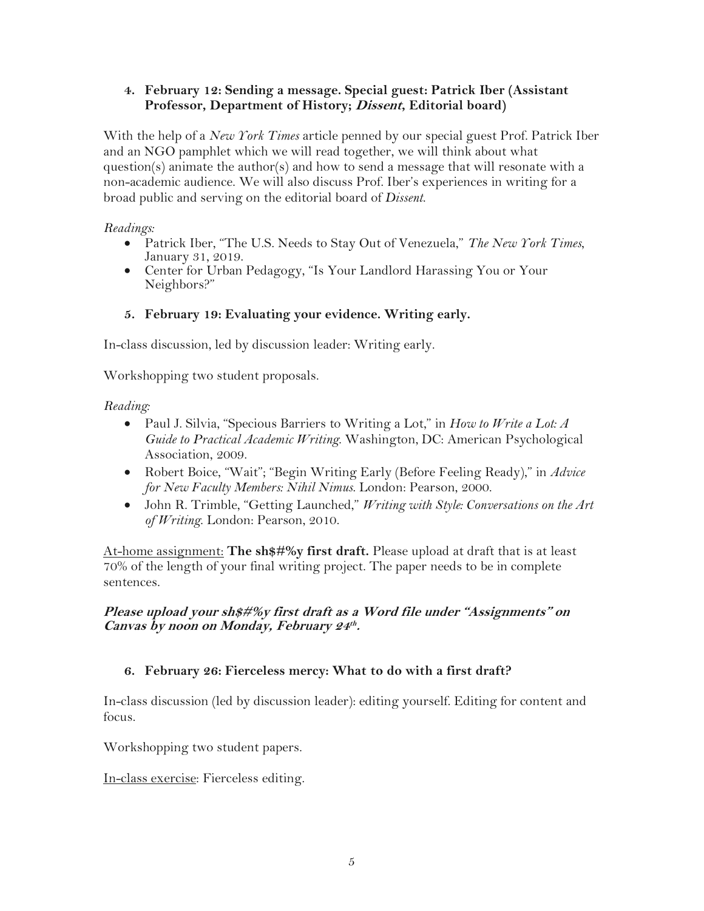### **4. February 12: Sending a message. Special guest: Patrick Iber (Assistant Professor, Department of History; Dissent, Editorial board)**

With the help of a *New York Times* article penned by our special guest Prof. Patrick Iber and an NGO pamphlet which we will read together, we will think about what question(s) animate the author(s) and how to send a message that will resonate with a non-academic audience. We will also discuss Prof. Iber's experiences in writing for a broad public and serving on the editorial board of *Dissent*.

### *Readings:*

- Patrick Iber, "The U.S. Needs to Stay Out of Venezuela," *The New York Times*, January 31, 2019.
- Center for Urban Pedagogy, "Is Your Landlord Harassing You or Your Neighbors?"

## **5. February 19: Evaluating your evidence. Writing early.**

In-class discussion, led by discussion leader: Writing early.

Workshopping two student proposals.

## *Reading:*

- Paul J. Silvia, "Specious Barriers to Writing a Lot," in *How to Write a Lot: A Guide to Practical Academic Writing*. Washington, DC: American Psychological Association, 2009.
- Robert Boice, "Wait"; "Begin Writing Early (Before Feeling Ready)," in *Advice for New Faculty Members: Nihil Nimus*. London: Pearson, 2000.
- John R. Trimble, "Getting Launched," *Writing with Style: Conversations on the Art of Writing*. London: Pearson, 2010.

At-home assignment: **The sh\$#%y first draft.** Please upload at draft that is at least 70% of the length of your final writing project. The paper needs to be in complete sentences.

### **Please upload your sh\$#%y first draft as a Word file under "Assignments" on Canvas by noon on Monday, February 24th .**

# **6. February 26: Fierceless mercy: What to do with a first draft?**

In-class discussion (led by discussion leader): editing yourself. Editing for content and focus.

Workshopping two student papers.

In-class exercise: Fierceless editing.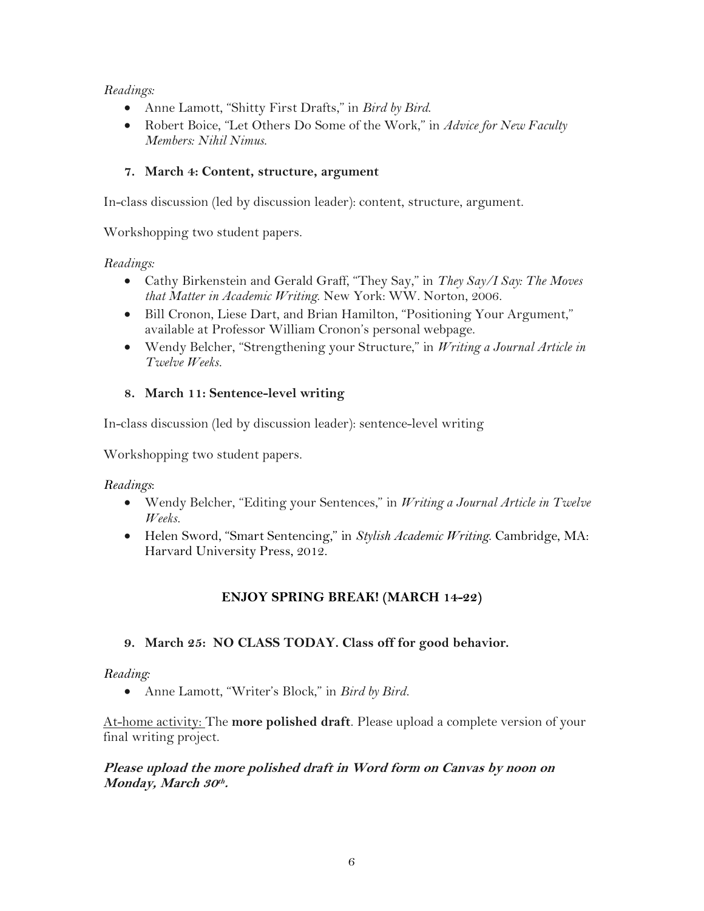### *Readings:*

- Anne Lamott, "Shitty First Drafts," in *Bird by Bird*.
- Robert Boice, "Let Others Do Some of the Work," in *Advice for New Faculty Members: Nihil Nimus*.

## **7. March 4: Content, structure, argument**

In-class discussion (led by discussion leader): content, structure, argument.

Workshopping two student papers.

### *Readings:*

- Cathy Birkenstein and Gerald Graff, "They Say," in *They Say/I Say: The Moves that Matter in Academic Writing*. New York: WW. Norton, 2006.
- Bill Cronon, Liese Dart, and Brian Hamilton, "Positioning Your Argument," available at Professor William Cronon's personal webpage.
- Wendy Belcher, "Strengthening your Structure," in *Writing a Journal Article in Twelve Weeks.*

## **8. March 11: Sentence-level writing**

In-class discussion (led by discussion leader): sentence-level writing

Workshopping two student papers.

## *Readings*:

- Wendy Belcher, "Editing your Sentences," in *Writing a Journal Article in Twelve Weeks.*
- Helen Sword, "Smart Sentencing," in *Stylish Academic Writing*. Cambridge, MA: Harvard University Press, 2012.

# **ENJOY SPRING BREAK! (MARCH 14-22)**

## **9. March 25: NO CLASS TODAY. Class off for good behavior.**

#### *Reading:*

• Anne Lamott, "Writer's Block," in *Bird by Bird.*

At-home activity: The **more polished draft**. Please upload a complete version of your final writing project.

### **Please upload the more polished draft in Word form on Canvas by noon on Monday, March 30th .**